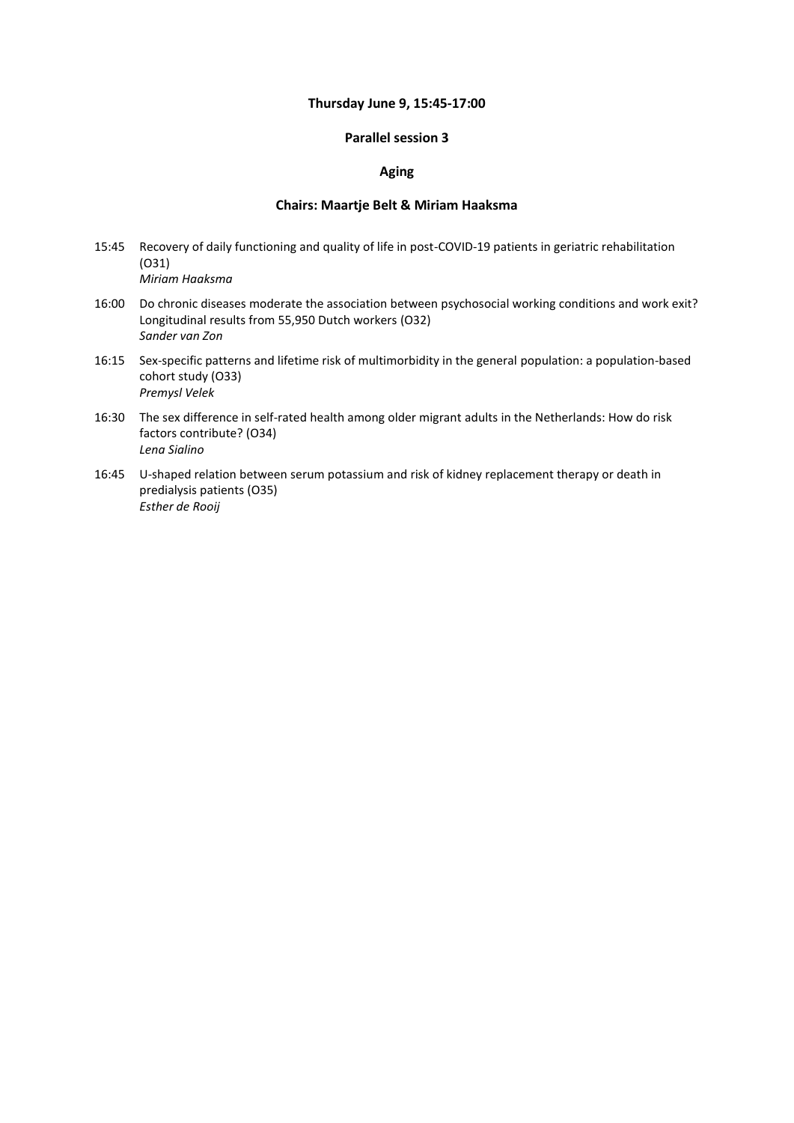#### **Thursday June 9, 15:45-17:00**

### **Parallel session 3**

### **Aging**

#### **Chairs: Maartje Belt & Miriam Haaksma**

- 15:45 Recovery of daily functioning and quality of life in post-COVID-19 patients in geriatric rehabilitation (O31) *Miriam Haaksma*
- 16:00 Do chronic diseases moderate the association between psychosocial working conditions and work exit? Longitudinal results from 55,950 Dutch workers (O32) *Sander van Zon*
- 16:15 Sex-specific patterns and lifetime risk of multimorbidity in the general population: a population-based cohort study (O33) *Premysl Velek*
- 16:30 The sex difference in self-rated health among older migrant adults in the Netherlands: How do risk factors contribute? (O34) *Lena Sialino*
- 16:45 U-shaped relation between serum potassium and risk of kidney replacement therapy or death in predialysis patients (O35) *Esther de Rooij*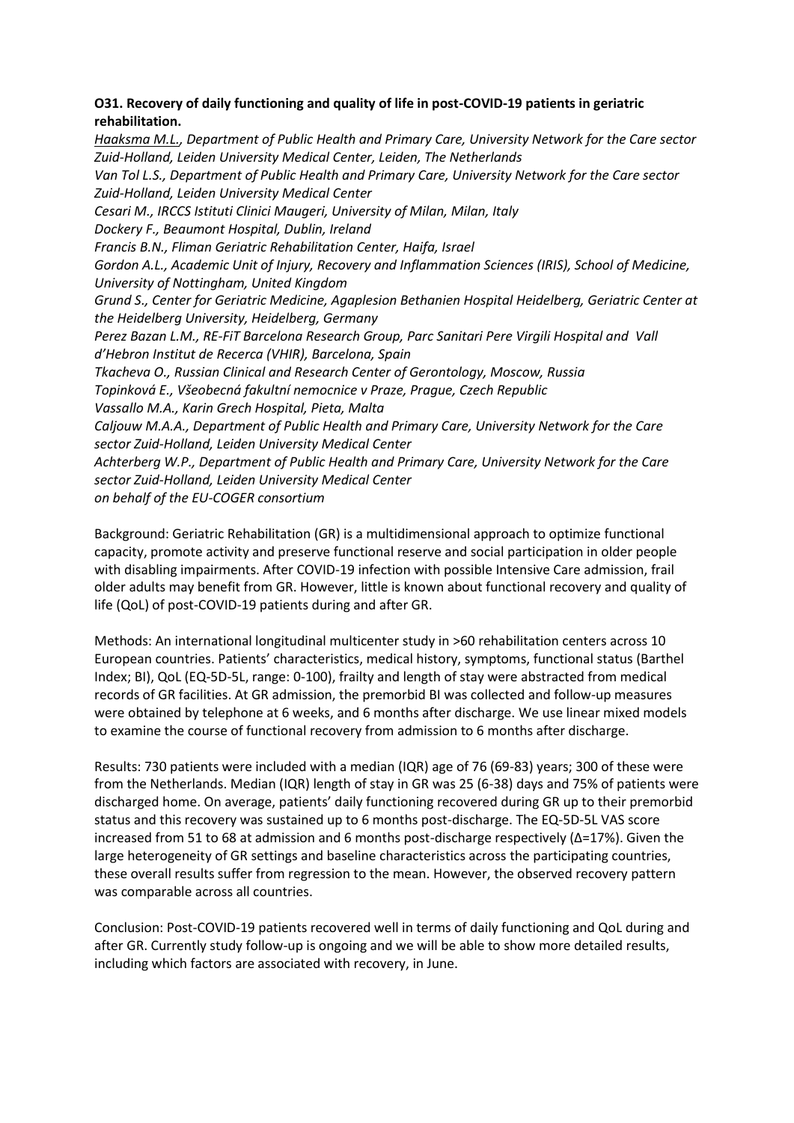# **O31. Recovery of daily functioning and quality of life in post-COVID-19 patients in geriatric rehabilitation.**

*Haaksma M.L., Department of Public Health and Primary Care, University Network for the Care sector Zuid-Holland, Leiden University Medical Center, Leiden, The Netherlands Van Tol L.S., Department of Public Health and Primary Care, University Network for the Care sector Zuid-Holland, Leiden University Medical Center Cesari M., IRCCS Istituti Clinici Maugeri, University of Milan, Milan, Italy Dockery F., Beaumont Hospital, Dublin, Ireland Francis B.N., Fliman Geriatric Rehabilitation Center, Haifa, Israel Gordon A.L., Academic Unit of Injury, Recovery and Inflammation Sciences (IRIS), School of Medicine, University of Nottingham, United Kingdom Grund S., Center for Geriatric Medicine, Agaplesion Bethanien Hospital Heidelberg, Geriatric Center at the Heidelberg University, Heidelberg, Germany Perez Bazan L.M., RE-FiT Barcelona Research Group, Parc Sanitari Pere Virgili Hospital and Vall d'Hebron Institut de Recerca (VHIR), Barcelona, Spain Tkacheva O., Russian Clinical and Research Center of Gerontology, Moscow, Russia Topinková E., Všeobecná fakultní nemocnice v Praze, Prague, Czech Republic Vassallo M.A., Karin Grech Hospital, Pieta, Malta Caljouw M.A.A., Department of Public Health and Primary Care, University Network for the Care sector Zuid-Holland, Leiden University Medical Center Achterberg W.P., Department of Public Health and Primary Care, University Network for the Care sector Zuid-Holland, Leiden University Medical Center on behalf of the EU-COGER consortium*

Background: Geriatric Rehabilitation (GR) is a multidimensional approach to optimize functional capacity, promote activity and preserve functional reserve and social participation in older people with disabling impairments. After COVID-19 infection with possible Intensive Care admission, frail older adults may benefit from GR. However, little is known about functional recovery and quality of life (QoL) of post-COVID-19 patients during and after GR.

Methods: An international longitudinal multicenter study in >60 rehabilitation centers across 10 European countries. Patients' characteristics, medical history, symptoms, functional status (Barthel Index; BI), QoL (EQ-5D-5L, range: 0-100), frailty and length of stay were abstracted from medical records of GR facilities. At GR admission, the premorbid BI was collected and follow-up measures were obtained by telephone at 6 weeks, and 6 months after discharge. We use linear mixed models to examine the course of functional recovery from admission to 6 months after discharge.

Results: 730 patients were included with a median (IQR) age of 76 (69-83) years; 300 of these were from the Netherlands. Median (IQR) length of stay in GR was 25 (6-38) days and 75% of patients were discharged home. On average, patients' daily functioning recovered during GR up to their premorbid status and this recovery was sustained up to 6 months post-discharge. The EQ-5D-5L VAS score increased from 51 to 68 at admission and 6 months post-discharge respectively (∆=17%). Given the large heterogeneity of GR settings and baseline characteristics across the participating countries, these overall results suffer from regression to the mean. However, the observed recovery pattern was comparable across all countries.

Conclusion: Post-COVID-19 patients recovered well in terms of daily functioning and QoL during and after GR. Currently study follow-up is ongoing and we will be able to show more detailed results, including which factors are associated with recovery, in June.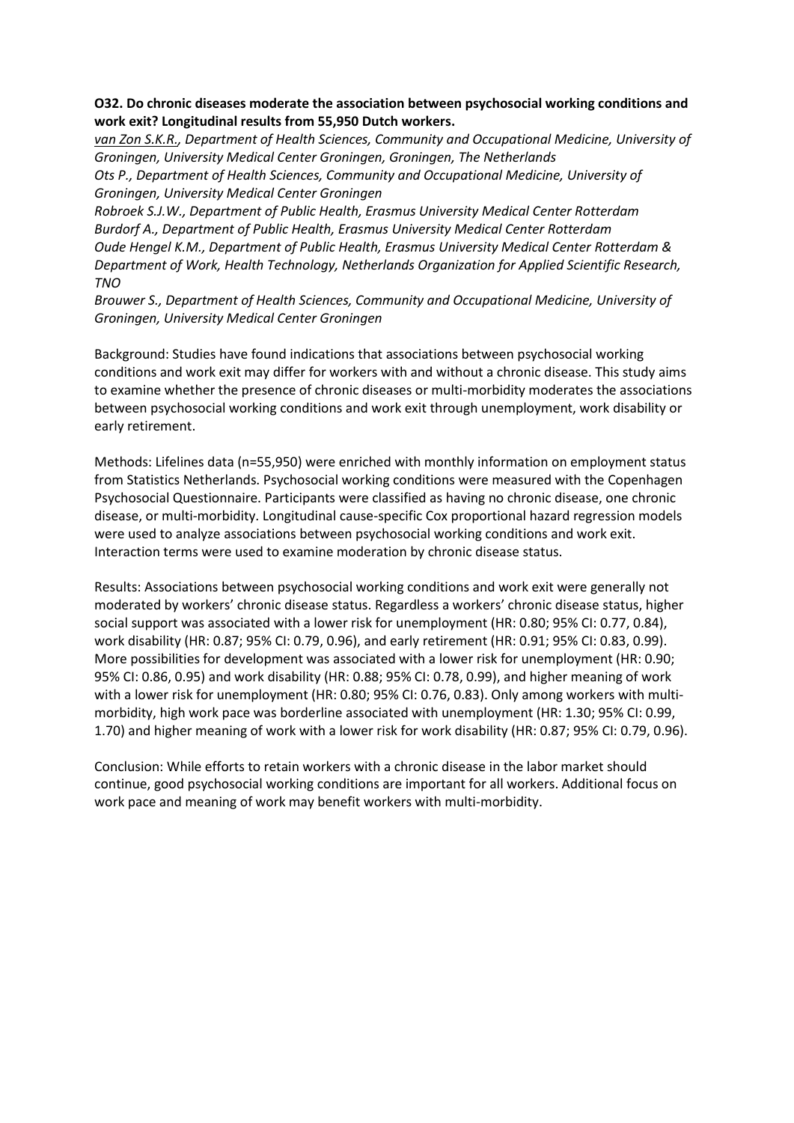## **O32. Do chronic diseases moderate the association between psychosocial working conditions and work exit? Longitudinal results from 55,950 Dutch workers.**

*van Zon S.K.R., Department of Health Sciences, Community and Occupational Medicine, University of Groningen, University Medical Center Groningen, Groningen, The Netherlands*

*Ots P., Department of Health Sciences, Community and Occupational Medicine, University of Groningen, University Medical Center Groningen*

*Robroek S.J.W., Department of Public Health, Erasmus University Medical Center Rotterdam Burdorf A., Department of Public Health, Erasmus University Medical Center Rotterdam Oude Hengel K.M., Department of Public Health, Erasmus University Medical Center Rotterdam & Department of Work, Health Technology, Netherlands Organization for Applied Scientific Research, TNO*

*Brouwer S., Department of Health Sciences, Community and Occupational Medicine, University of Groningen, University Medical Center Groningen*

Background: Studies have found indications that associations between psychosocial working conditions and work exit may differ for workers with and without a chronic disease. This study aims to examine whether the presence of chronic diseases or multi-morbidity moderates the associations between psychosocial working conditions and work exit through unemployment, work disability or early retirement.

Methods: Lifelines data (n=55,950) were enriched with monthly information on employment status from Statistics Netherlands. Psychosocial working conditions were measured with the Copenhagen Psychosocial Questionnaire. Participants were classified as having no chronic disease, one chronic disease, or multi-morbidity. Longitudinal cause-specific Cox proportional hazard regression models were used to analyze associations between psychosocial working conditions and work exit. Interaction terms were used to examine moderation by chronic disease status.

Results: Associations between psychosocial working conditions and work exit were generally not moderated by workers' chronic disease status. Regardless a workers' chronic disease status, higher social support was associated with a lower risk for unemployment (HR: 0.80; 95% CI: 0.77, 0.84), work disability (HR: 0.87; 95% CI: 0.79, 0.96), and early retirement (HR: 0.91; 95% CI: 0.83, 0.99). More possibilities for development was associated with a lower risk for unemployment (HR: 0.90; 95% CI: 0.86, 0.95) and work disability (HR: 0.88; 95% CI: 0.78, 0.99), and higher meaning of work with a lower risk for unemployment (HR: 0.80; 95% CI: 0.76, 0.83). Only among workers with multimorbidity, high work pace was borderline associated with unemployment (HR: 1.30; 95% CI: 0.99, 1.70) and higher meaning of work with a lower risk for work disability (HR: 0.87; 95% CI: 0.79, 0.96).

Conclusion: While efforts to retain workers with a chronic disease in the labor market should continue, good psychosocial working conditions are important for all workers. Additional focus on work pace and meaning of work may benefit workers with multi-morbidity.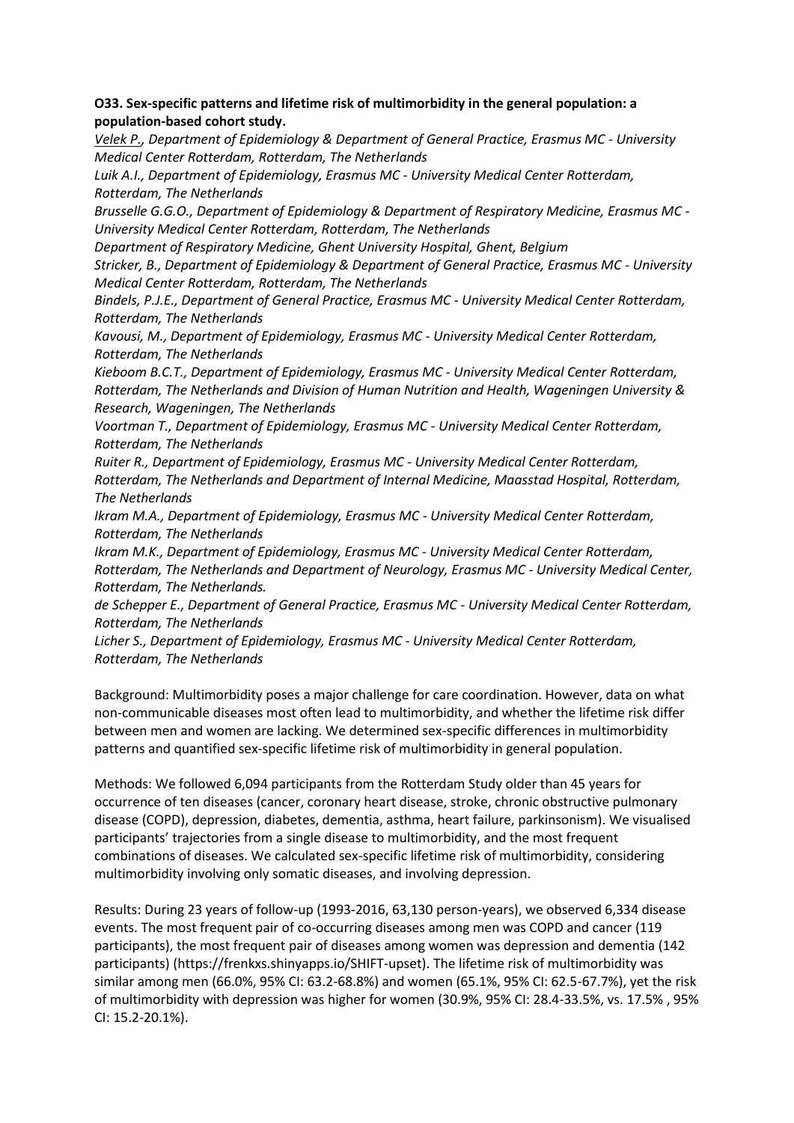# **O33. Sex-specific patterns and lifetime risk of multimorbidity in the general population: a population-based cohort study.**

*Velek P., Department of Epidemiology & Department of General Practice, Erasmus MC - University Medical Center Rotterdam, Rotterdam, The Netherlands*

*Luik A.I., Department of Epidemiology, Erasmus MC - University Medical Center Rotterdam, Rotterdam, The Netherlands*

*Brusselle G.G.O., Department of Epidemiology & Department of Respiratory Medicine, Erasmus MC - University Medical Center Rotterdam, Rotterdam, The Netherlands*

*Department of Respiratory Medicine, Ghent University Hospital, Ghent, Belgium*

*Stricker, B., Department of Epidemiology & Department of General Practice, Erasmus MC - University Medical Center Rotterdam, Rotterdam, The Netherlands*

*Bindels, P.J.E., Department of General Practice, Erasmus MC - University Medical Center Rotterdam, Rotterdam, The Netherlands* 

*Kavousi, M., Department of Epidemiology, Erasmus MC - University Medical Center Rotterdam, Rotterdam, The Netherlands*

*Kieboom B.C.T., Department of Epidemiology, Erasmus MC - University Medical Center Rotterdam, Rotterdam, The Netherlands and Division of Human Nutrition and Health, Wageningen University & Research, Wageningen, The Netherlands*

*Voortman T., Department of Epidemiology, Erasmus MC - University Medical Center Rotterdam, Rotterdam, The Netherlands*

*Ruiter R., Department of Epidemiology, Erasmus MC - University Medical Center Rotterdam, Rotterdam, The Netherlands and Department of Internal Medicine, Maasstad Hospital, Rotterdam, The Netherlands*

*Ikram M.A., Department of Epidemiology, Erasmus MC - University Medical Center Rotterdam, Rotterdam, The Netherlands*

*Ikram M.K., Department of Epidemiology, Erasmus MC - University Medical Center Rotterdam, Rotterdam, The Netherlands and Department of Neurology, Erasmus MC - University Medical Center, Rotterdam, The Netherlands.*

*de Schepper E., Department of General Practice, Erasmus MC - University Medical Center Rotterdam, Rotterdam, The Netherlands*

*Licher S., Department of Epidemiology, Erasmus MC - University Medical Center Rotterdam, Rotterdam, The Netherlands*

Background: Multimorbidity poses a major challenge for care coordination. However, data on what non-communicable diseases most often lead to multimorbidity, and whether the lifetime risk differ between men and women are lacking. We determined sex-specific differences in multimorbidity patterns and quantified sex-specific lifetime risk of multimorbidity in general population.

Methods: We followed 6,094 participants from the Rotterdam Study older than 45 years for occurrence of ten diseases (cancer, coronary heart disease, stroke, chronic obstructive pulmonary disease (COPD), depression, diabetes, dementia, asthma, heart failure, parkinsonism). We visualised participants' trajectories from a single disease to multimorbidity, and the most frequent combinations of diseases. We calculated sex-specific lifetime risk of multimorbidity, considering multimorbidity involving only somatic diseases, and involving depression.

Results: During 23 years of follow-up (1993-2016, 63,130 person-years), we observed 6,334 disease events. The most frequent pair of co-occurring diseases among men was COPD and cancer (119 participants), the most frequent pair of diseases among women was depression and dementia (142 participants) (https://frenkxs.shinyapps.io/SHIFT-upset). The lifetime risk of multimorbidity was similar among men (66.0%, 95% CI: 63.2-68.8%) and women (65.1%, 95% CI: 62.5-67.7%), yet the risk of multimorbidity with depression was higher for women (30.9%, 95% CI: 28.4-33.5%, vs. 17.5% , 95% CI: 15.2-20.1%).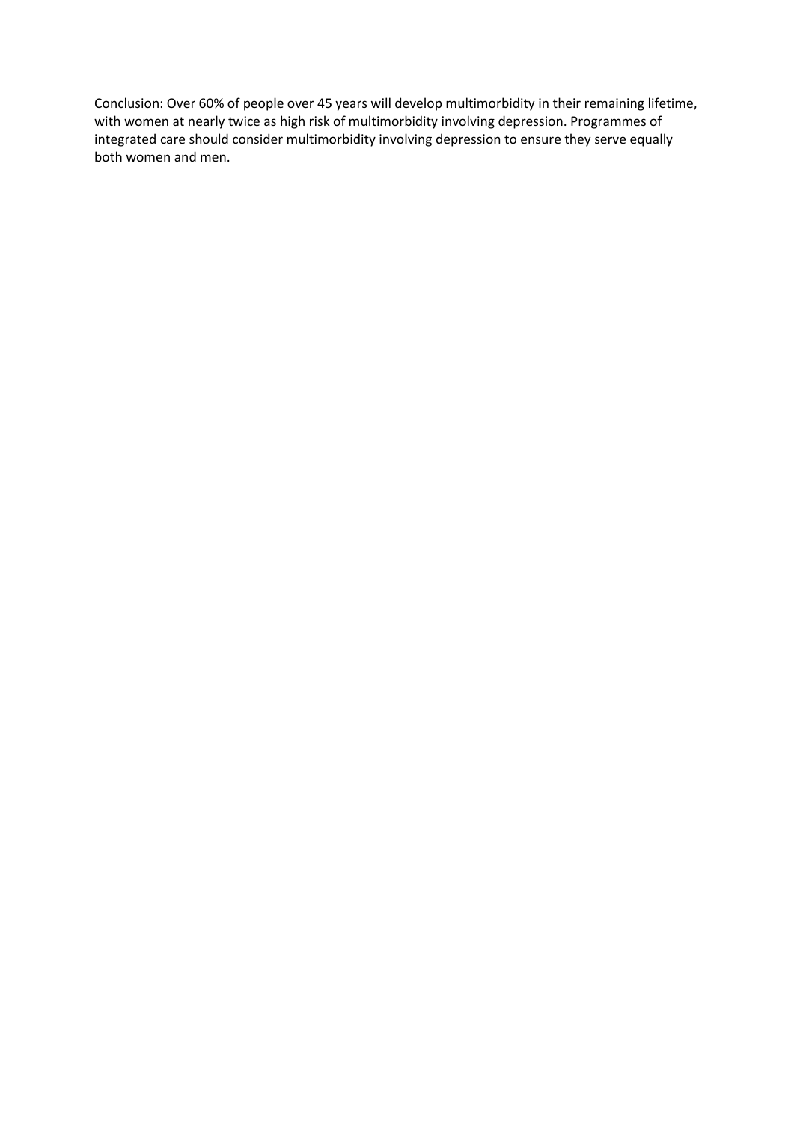Conclusion: Over 60% of people over 45 years will develop multimorbidity in their remaining lifetime, with women at nearly twice as high risk of multimorbidity involving depression. Programmes of integrated care should consider multimorbidity involving depression to ensure they serve equally both women and men.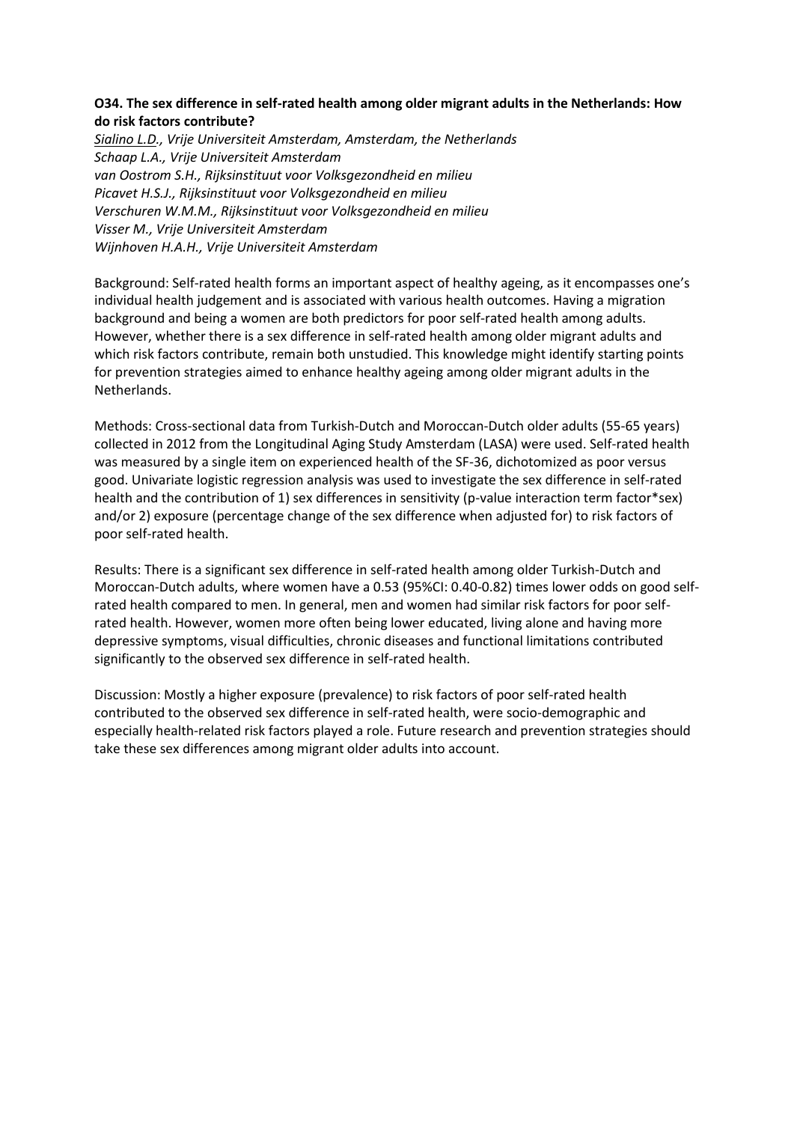# **O34. The sex difference in self-rated health among older migrant adults in the Netherlands: How do risk factors contribute?**

*Sialino L.D., Vrije Universiteit Amsterdam, Amsterdam, the Netherlands Schaap L.A., Vrije Universiteit Amsterdam van Oostrom S.H., Rijksinstituut voor Volksgezondheid en milieu Picavet H.S.J., Rijksinstituut voor Volksgezondheid en milieu Verschuren W.M.M., Rijksinstituut voor Volksgezondheid en milieu Visser M., Vrije Universiteit Amsterdam Wijnhoven H.A.H., Vrije Universiteit Amsterdam*

Background: Self-rated health forms an important aspect of healthy ageing, as it encompasses one's individual health judgement and is associated with various health outcomes. Having a migration background and being a women are both predictors for poor self-rated health among adults. However, whether there is a sex difference in self-rated health among older migrant adults and which risk factors contribute, remain both unstudied. This knowledge might identify starting points for prevention strategies aimed to enhance healthy ageing among older migrant adults in the Netherlands.

Methods: Cross-sectional data from Turkish-Dutch and Moroccan-Dutch older adults (55-65 years) collected in 2012 from the Longitudinal Aging Study Amsterdam (LASA) were used. Self-rated health was measured by a single item on experienced health of the SF-36, dichotomized as poor versus good. Univariate logistic regression analysis was used to investigate the sex difference in self-rated health and the contribution of 1) sex differences in sensitivity (p-value interaction term factor\*sex) and/or 2) exposure (percentage change of the sex difference when adjusted for) to risk factors of poor self-rated health.

Results: There is a significant sex difference in self-rated health among older Turkish-Dutch and Moroccan-Dutch adults, where women have a 0.53 (95%CI: 0.40-0.82) times lower odds on good selfrated health compared to men. In general, men and women had similar risk factors for poor selfrated health. However, women more often being lower educated, living alone and having more depressive symptoms, visual difficulties, chronic diseases and functional limitations contributed significantly to the observed sex difference in self-rated health.

Discussion: Mostly a higher exposure (prevalence) to risk factors of poor self-rated health contributed to the observed sex difference in self-rated health, were socio-demographic and especially health-related risk factors played a role. Future research and prevention strategies should take these sex differences among migrant older adults into account.